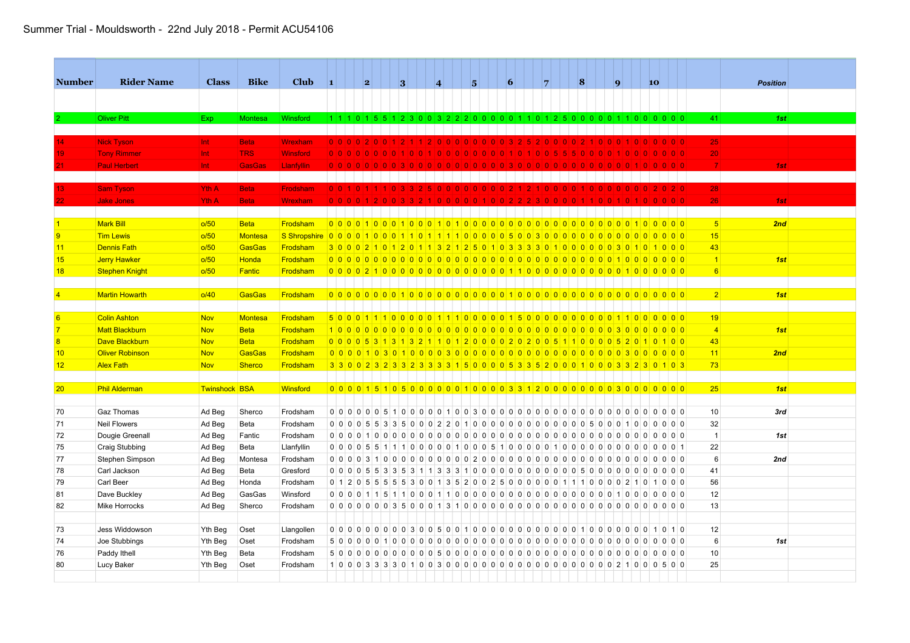## Summer Trial - Mouldsworth - 22nd July 2018 - Permit ACU54106

| <b>Number</b>   | <b>Rider Name</b>      | <b>Class</b>         | <b>Bike</b>    | <b>Club</b>     | $\vert$ 1     | 2 | 3 |     | $\overline{\mathbf{4}}$ |       | 15                                                                                | $\vert 6 \vert$ | $\overline{7}$ | 8      |         | $\vert$ 9 | 10                   |                                                                             |                 | <b>Position</b> |  |
|-----------------|------------------------|----------------------|----------------|-----------------|---------------|---|---|-----|-------------------------|-------|-----------------------------------------------------------------------------------|-----------------|----------------|--------|---------|-----------|----------------------|-----------------------------------------------------------------------------|-----------------|-----------------|--|
|                 |                        |                      |                |                 |               |   |   |     |                         |       |                                                                                   |                 |                |        |         |           |                      |                                                                             |                 |                 |  |
|                 |                        |                      |                |                 |               |   |   |     |                         |       |                                                                                   |                 |                |        |         |           |                      |                                                                             |                 |                 |  |
|                 | <b>Oliver Pitt</b>     | Exp                  | <b>Montesa</b> | Winsford        |               |   |   |     |                         |       | 1 1 1 0 1 5 5 1 2 3 0 0 3 2 2 2 0 0 0 0 0 1 1 0 1 2 5 0 0 0 0 0 1 1 0 0 0 0 0 0   |                 |                |        |         |           |                      |                                                                             | 41              | 1st             |  |
|                 |                        |                      |                |                 |               |   |   |     |                         |       |                                                                                   |                 |                |        |         |           |                      |                                                                             |                 |                 |  |
|                 | <b>Nick Tyson</b>      | Int.                 | <b>Beta</b>    | <b>Wrexham</b>  | 0 0 0         |   |   |     |                         |       |                                                                                   |                 |                |        |         |           |                      | 0 0 0                                                                       | 25              |                 |  |
|                 | <b>Tony Rimmer</b>     | Int                  | <b>TRS</b>     | <b>Winsford</b> | 0 0 0         |   |   |     |                         |       |                                                                                   |                 |                |        |         |           |                      |                                                                             | 20 <sup>1</sup> |                 |  |
|                 | <b>Paul Herbert</b>    | Int.                 | <b>GasGas</b>  | Llanfyllin      | 0 0 0 0 0 0 0 |   |   |     |                         | 0 0 0 | 10 I O I                                                                          |                 |                | $\cap$ |         |           |                      | 0 0 0                                                                       | $\overline{7}$  | 1st             |  |
|                 |                        |                      |                |                 |               |   |   |     |                         |       |                                                                                   |                 |                |        |         |           |                      |                                                                             |                 |                 |  |
|                 | <b>Sam Tyson</b>       | Yth A                | <b>Beta</b>    | Frodsham        | 0 0 1 0 1     |   |   | 15. |                         |       | 00000000002                                                                       |                 | 10000          |        | 0000000 |           |                      | 0 2 0                                                                       | 28              |                 |  |
|                 | <b>Jake Jones</b>      | Yth A                | <b>Beta</b>    | <b>Wrexham</b>  | 0 0 0         |   |   |     |                         |       |                                                                                   |                 |                |        |         |           |                      | 0 0 0                                                                       | 26              | 1st             |  |
|                 |                        |                      |                |                 |               |   |   |     |                         |       |                                                                                   |                 |                |        |         |           |                      |                                                                             |                 |                 |  |
|                 | <b>Mark Bill</b>       | o/50                 | <b>Beta</b>    | Frodsham        |               |   |   |     |                         |       |                                                                                   |                 |                |        |         |           |                      |                                                                             | 5 <sup>1</sup>  | 2nd             |  |
| 9               | <b>Tim Lewis</b>       | o/50                 | <b>Montesa</b> |                 |               |   |   |     |                         |       |                                                                                   |                 |                |        |         |           |                      | 0000                                                                        | 15              |                 |  |
| 11              | <b>Dennis Fath</b>     | o/50                 | GasGas         | Frodsham        |               |   |   |     |                         |       | 3 0 0 0 2 1 0 1 2 0 1 1 3 2 1 2 5 0 1 0 3 3 3 3 0 1 0 0 0 0 0 0 3 0 1             |                 |                |        |         |           |                      | 1000                                                                        | 43              |                 |  |
| 15              | Jerry Hawker           | o/50                 | Honda          | Frodsham        |               |   |   |     |                         |       |                                                                                   |                 |                |        |         |           |                      | 0000                                                                        | $\overline{1}$  | 1st             |  |
| 18              | <b>Stephen Knight</b>  | o/50                 | <b>Fantic</b>  | Frodsham        |               |   |   |     |                         |       |                                                                                   |                 |                |        |         |           |                      |                                                                             | 6               |                 |  |
|                 |                        |                      |                |                 |               |   |   |     |                         |       |                                                                                   |                 |                |        |         |           |                      |                                                                             |                 |                 |  |
|                 | <b>Martin Howarth</b>  | o/40                 | <b>GasGas</b>  | Frodsham        |               |   |   |     |                         |       |                                                                                   |                 |                |        |         |           |                      |                                                                             | 2               | 1st             |  |
|                 |                        |                      |                |                 |               |   |   |     |                         |       |                                                                                   |                 |                |        |         |           |                      |                                                                             |                 |                 |  |
|                 | <b>Colin Ashton</b>    | <b>Nov</b>           | <b>Montesa</b> | Frodsham        |               |   |   |     |                         |       |                                                                                   |                 |                |        |         |           |                      |                                                                             | 19              |                 |  |
|                 | <b>Matt Blackburn</b>  | <b>Nov</b>           | <b>Beta</b>    | Frodsham        |               |   |   |     |                         |       |                                                                                   |                 |                |        |         |           |                      | 0000                                                                        | $\overline{4}$  | 1st             |  |
|                 | <b>Dave Blackburn</b>  | <b>Nov</b>           | <b>Beta</b>    | Frodsham        |               |   |   |     |                         |       | 0 0 0 0 5 3 1 3 1 3 2 1 1 0 1 2 0 0 0 0 2 0 2 0 0 5 1 1 0 0 0 0 5 2 0             |                 |                |        |         |           | 10100                |                                                                             | 43              |                 |  |
| 10              | <b>Oliver Robinson</b> | Nov                  | <b>GasGas</b>  | Frodsham        |               |   |   |     |                         |       |                                                                                   |                 |                |        |         |           |                      |                                                                             | 11              | 2nd             |  |
| 12              | <b>Alex Fath</b>       | <b>Nov</b>           | <b>Sherco</b>  | Frodsham        |               |   |   |     |                         |       | 3 3 0 0 2 3 2 3 3 2 3 3 3 3 4 5 0 0 0 0 5 3 3 5 2 0 0 0 1 0 0 0 3 3 2 3 0 1 0 3   |                 |                |        |         |           |                      |                                                                             | 73              |                 |  |
|                 |                        |                      |                |                 |               |   |   |     |                         |       |                                                                                   |                 |                |        |         |           |                      |                                                                             |                 |                 |  |
| 20 <sub>2</sub> | <b>Phil Alderman</b>   | <b>Twinshock BSA</b> |                | Winsford        |               |   |   |     |                         |       | 0 0 0 0 1 5 1 0 5 0 0 0 0 0 1 0 0 0 0 3 3 1 2 0 0 0 0 0 0 0 0 3 0 0 0 0 0 0 0     |                 |                |        |         |           |                      |                                                                             | 25              | 1st             |  |
|                 |                        |                      |                |                 |               |   |   |     |                         |       |                                                                                   |                 |                |        |         |           |                      |                                                                             |                 |                 |  |
| 70              | <b>Gaz Thomas</b>      | Ad Beg               | Sherco         | Frodsham        |               |   |   |     |                         |       |                                                                                   |                 |                |        |         |           |                      |                                                                             | 10 <sup>1</sup> | 3rd             |  |
| 71              | <b>Neil Flowers</b>    | Ad Beg               | Beta           | Frodsham        |               |   |   |     |                         |       |                                                                                   |                 |                |        |         |           |                      | $\begin{array}{c c c c c c c c} \hline 0 & 0 & 0 & 0 \\ \hline \end{array}$ | 32              |                 |  |
| 72              | Dougie Greenall        | Ad Beg               | Fantic         | Frodsham        |               |   |   |     |                         |       | 0000100000000000000000000000000000000                                             |                 |                |        |         |           | $\Omega$             |                                                                             | $\overline{1}$  | 1st             |  |
| 75              | Craig Stubbing         | Ad Beg               | Beta           | Llanfyllin      |               |   |   |     |                         |       |                                                                                   |                 |                |        |         |           |                      |                                                                             | 22              |                 |  |
| 77              | Stephen Simpson        | Ad Beg               | Montesa        | Frodsham        |               |   |   |     |                         |       |                                                                                   |                 |                |        |         |           |                      | $\begin{array}{c c c c c c c c} \hline 0 & 0 & 0 & 0 \\ \hline \end{array}$ | $6\overline{6}$ | 2nd             |  |
| 78              | Carl Jackson           | Ad Beg               | Beta           | Gresford        |               |   |   |     |                         |       |                                                                                   |                 |                |        | 000000  |           | $\Omega$<br>$\Omega$ | $0\ 0\ 0$                                                                   | 41              |                 |  |
| 79              | Carl Beer              | Ad Beg               | Honda          | Frodsham        |               |   |   |     |                         |       | 0 1 2 0 5 5 5 5 5 6 3 0 0 1 3 5 2 0 0 2 5 0 0 0 0 0 0 1 1 1 0 0 0 0 2 1 0 1 0 0 0 |                 |                |        |         |           |                      |                                                                             | 56              |                 |  |
| 81              | Dave Buckley           | Ad Beg               | GasGas         | Winsford        |               |   |   |     |                         |       |                                                                                   |                 |                |        |         |           |                      |                                                                             | 12              |                 |  |
| 82              | <b>Mike Horrocks</b>   | Ad Beg               | Sherco         | Frodsham        |               |   |   |     |                         |       |                                                                                   |                 |                |        |         |           |                      |                                                                             | 13              |                 |  |
|                 |                        |                      |                |                 |               |   |   |     |                         |       |                                                                                   |                 |                |        |         |           |                      |                                                                             |                 |                 |  |
| 73              | Jess Widdowson         | Yth Beg              | Oset           | Llangollen      |               |   |   |     |                         |       | 0 0 0 0 0 0 0 0 0 3 0 0 5 0 0 1 0 0 0 0 0 0 0 0 0 0 0 0 0 1 0 0 0 0 0 0 0 0 1 0   |                 |                |        |         |           |                      |                                                                             | 12              |                 |  |
| 74              | Joe Stubbings          | Yth Beg              | Oset           | Frodsham        |               |   |   |     |                         |       | 5000001000000000000000000000000000000                                             |                 |                |        |         |           | $\Omega$             | 0 0 0 0                                                                     | $6\overline{6}$ | 1st             |  |
| 76              | Paddy Ithell           | Yth Beg              | Beta           | Frodsham        |               |   |   |     |                         |       |                                                                                   |                 |                |        |         |           |                      |                                                                             | 10              |                 |  |
| 80              | Lucy Baker             | Yth Beg              | Oset           | Frodsham        |               |   |   |     |                         |       | 10003333010030000000000000000000021000500                                         |                 |                |        |         |           |                      |                                                                             | 25              |                 |  |
|                 |                        |                      |                |                 |               |   |   |     |                         |       |                                                                                   |                 |                |        |         |           |                      |                                                                             |                 |                 |  |